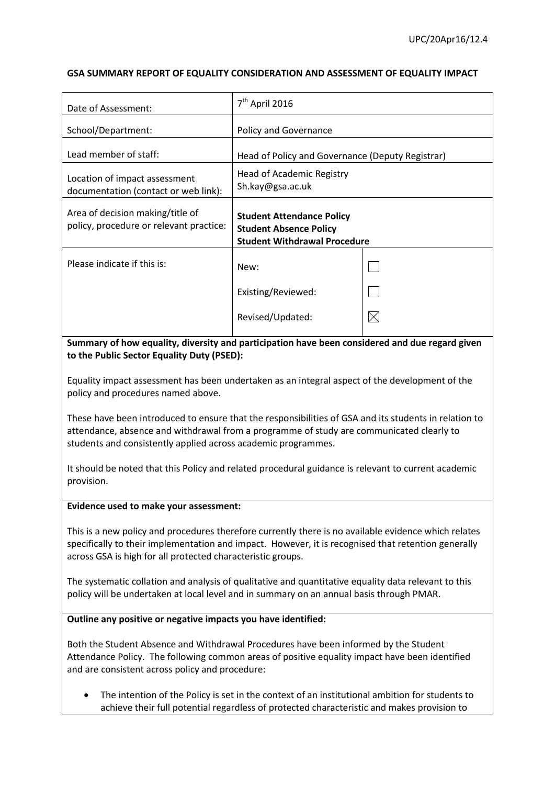### **GSA SUMMARY REPORT OF EQUALITY CONSIDERATION AND ASSESSMENT OF EQUALITY IMPACT**

| Date of Assessment:                                                         | $7th$ April 2016                                                                                         |             |
|-----------------------------------------------------------------------------|----------------------------------------------------------------------------------------------------------|-------------|
| School/Department:                                                          | <b>Policy and Governance</b>                                                                             |             |
| Lead member of staff:                                                       | Head of Policy and Governance (Deputy Registrar)                                                         |             |
| Location of impact assessment<br>documentation (contact or web link):       | Head of Academic Registry<br>Sh.kay@gsa.ac.uk                                                            |             |
| Area of decision making/title of<br>policy, procedure or relevant practice: | <b>Student Attendance Policy</b><br><b>Student Absence Policy</b><br><b>Student Withdrawal Procedure</b> |             |
| Please indicate if this is:                                                 | New:                                                                                                     |             |
|                                                                             | Existing/Reviewed:                                                                                       |             |
|                                                                             | Revised/Updated:                                                                                         | $\boxtimes$ |

**Summary of how equality, diversity and participation have been considered and due regard given to the Public Sector Equality Duty (PSED):**

Equality impact assessment has been undertaken as an integral aspect of the development of the policy and procedures named above.

These have been introduced to ensure that the responsibilities of GSA and its students in relation to attendance, absence and withdrawal from a programme of study are communicated clearly to students and consistently applied across academic programmes.

It should be noted that this Policy and related procedural guidance is relevant to current academic provision.

### **Evidence used to make your assessment:**

This is a new policy and procedures therefore currently there is no available evidence which relates specifically to their implementation and impact. However, it is recognised that retention generally across GSA is high for all protected characteristic groups.

The systematic collation and analysis of qualitative and quantitative equality data relevant to this policy will be undertaken at local level and in summary on an annual basis through PMAR.

### **Outline any positive or negative impacts you have identified:**

Both the Student Absence and Withdrawal Procedures have been informed by the Student Attendance Policy. The following common areas of positive equality impact have been identified and are consistent across policy and procedure:

 The intention of the Policy is set in the context of an institutional ambition for students to achieve their full potential regardless of protected characteristic and makes provision to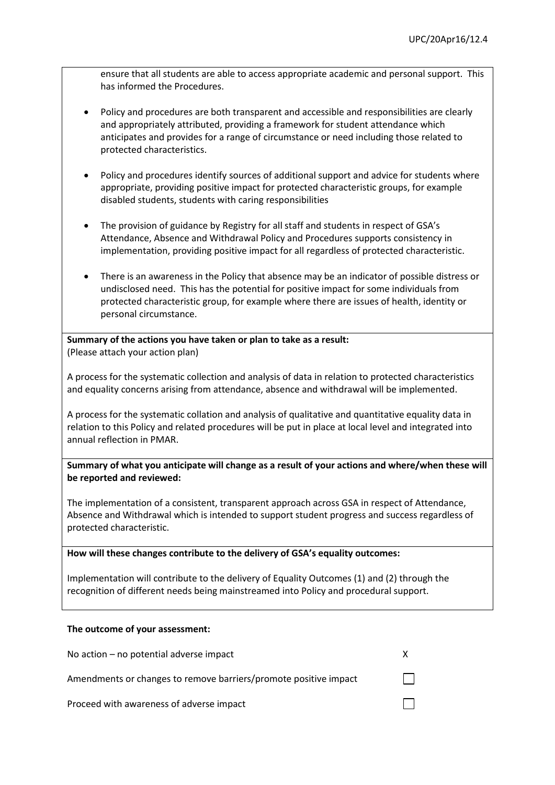ensure that all students are able to access appropriate academic and personal support. This has informed the Procedures.

- Policy and procedures are both transparent and accessible and responsibilities are clearly and appropriately attributed, providing a framework for student attendance which anticipates and provides for a range of circumstance or need including those related to protected characteristics.
- Policy and procedures identify sources of additional support and advice for students where appropriate, providing positive impact for protected characteristic groups, for example disabled students, students with caring responsibilities
- The provision of guidance by Registry for all staff and students in respect of GSA's Attendance, Absence and Withdrawal Policy and Procedures supports consistency in implementation, providing positive impact for all regardless of protected characteristic.
- There is an awareness in the Policy that absence may be an indicator of possible distress or undisclosed need. This has the potential for positive impact for some individuals from protected characteristic group, for example where there are issues of health, identity or personal circumstance.

**Summary of the actions you have taken or plan to take as a result:** (Please attach your action plan)

A process for the systematic collection and analysis of data in relation to protected characteristics and equality concerns arising from attendance, absence and withdrawal will be implemented.

A process for the systematic collation and analysis of qualitative and quantitative equality data in relation to this Policy and related procedures will be put in place at local level and integrated into annual reflection in PMAR.

**Summary of what you anticipate will change as a result of your actions and where/when these will be reported and reviewed:**

The implementation of a consistent, transparent approach across GSA in respect of Attendance, Absence and Withdrawal which is intended to support student progress and success regardless of protected characteristic.

### **How will these changes contribute to the delivery of GSA's equality outcomes:**

Implementation will contribute to the delivery of Equality Outcomes (1) and (2) through the recognition of different needs being mainstreamed into Policy and procedural support.

### **The outcome of your assessment:**

| No action – no potential adverse impact                          |              |
|------------------------------------------------------------------|--------------|
| Amendments or changes to remove barriers/promote positive impact | $\mathbf{1}$ |
| Proceed with awareness of adverse impact                         |              |